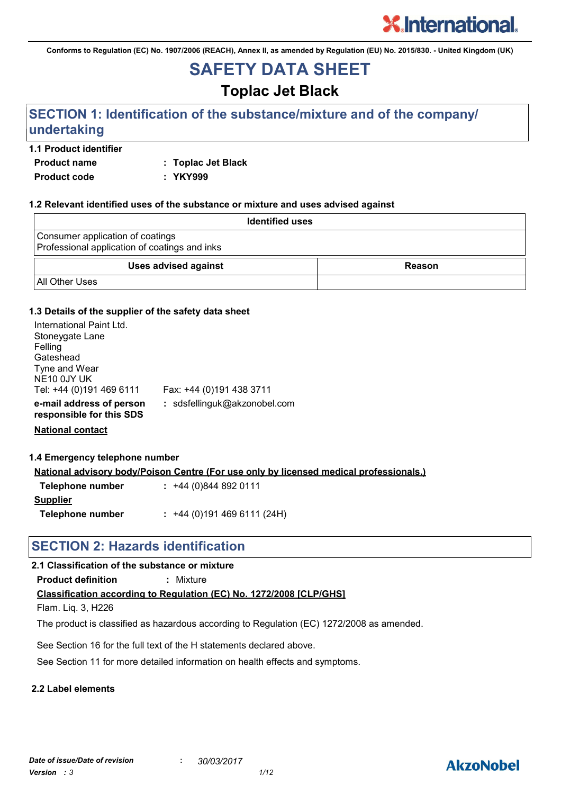**Conforms to Regulation (EC) No. 1907/2006 (REACH), Annex II, as amended by Regulation (EU) No. 2015/830. - United Kingdom (UK)**

## **SAFETY DATA SHEET**

**Toplac Jet Black**

### **SECTION 1: Identification of the substance/mixture and of the company/ undertaking**

#### **1.1 Product identifier**

**Product name : Toplac Jet Black**

**Product code : YKY999**

#### **1.2 Relevant identified uses of the substance or mixture and uses advised against**

| <b>Identified uses</b>                                                            |        |
|-----------------------------------------------------------------------------------|--------|
| Consumer application of coatings<br>Professional application of coatings and inks |        |
| <b>Uses advised against</b>                                                       | Reason |
| <b>All Other Uses</b>                                                             |        |

#### **1.3 Details of the supplier of the safety data sheet**

| International Paint Ltd.<br>Stoneygate Lane<br>Felling<br>Gateshead<br>Tyne and Wear<br>NE10 0JY UK<br>Tel: +44 (0)191 469 6111 | Fax: +44 (0)191 438 3711     |
|---------------------------------------------------------------------------------------------------------------------------------|------------------------------|
| e-mail address of person<br>responsible for this SDS                                                                            | : sdsfellinguk@akzonobel.com |

**National contact**

#### **1.4 Emergency telephone number**

**National advisory body/Poison Centre (For use only by licensed medical professionals.)**

| Telephone number | $: +44(0)8448920111$      |
|------------------|---------------------------|
| <b>Supplier</b>  |                           |
| Telephone number | $: +44(0)1914696111(24H)$ |

### **SECTION 2: Hazards identification**

#### **2.1 Classification of the substance or mixture**

**Product definition :** Mixture

#### **Classification according to Regulation (EC) No. 1272/2008 [CLP/GHS]**

Flam. Liq. 3, H226

The product is classified as hazardous according to Regulation (EC) 1272/2008 as amended.

See Section 16 for the full text of the H statements declared above.

See Section 11 for more detailed information on health effects and symptoms.

#### **2.2 Label elements**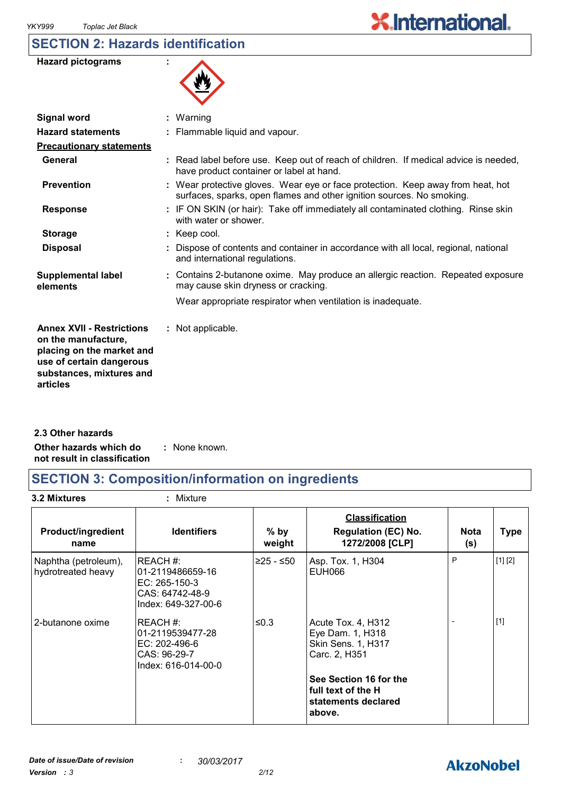### **SECTION 2: Hazards identification**

| <b>Hazard pictograms</b> |  |
|--------------------------|--|
|--------------------------|--|



| <b>Signal word</b>                                                                                                                                       | $:$ Warning                                                                                                                                              |
|----------------------------------------------------------------------------------------------------------------------------------------------------------|----------------------------------------------------------------------------------------------------------------------------------------------------------|
| <b>Hazard statements</b>                                                                                                                                 | : Flammable liquid and vapour.                                                                                                                           |
| <b>Precautionary statements</b>                                                                                                                          |                                                                                                                                                          |
| General                                                                                                                                                  | : Read label before use. Keep out of reach of children. If medical advice is needed,<br>have product container or label at hand.                         |
| <b>Prevention</b>                                                                                                                                        | : Wear protective gloves. Wear eye or face protection. Keep away from heat, hot<br>surfaces, sparks, open flames and other ignition sources. No smoking. |
| <b>Response</b>                                                                                                                                          | : IF ON SKIN (or hair): Take off immediately all contaminated clothing. Rinse skin<br>with water or shower.                                              |
| <b>Storage</b>                                                                                                                                           | : Keep cool.                                                                                                                                             |
| <b>Disposal</b>                                                                                                                                          | : Dispose of contents and container in accordance with all local, regional, national<br>and international regulations.                                   |
| <b>Supplemental label</b><br>elements                                                                                                                    | : Contains 2-butanone oxime. May produce an allergic reaction. Repeated exposure<br>may cause skin dryness or cracking.                                  |
|                                                                                                                                                          | Wear appropriate respirator when ventilation is inadequate.                                                                                              |
| <b>Annex XVII - Restrictions</b><br>on the manufacture,<br>placing on the market and<br>use of certain dangerous<br>substances, mixtures and<br>articles | : Not applicable.                                                                                                                                        |
|                                                                                                                                                          |                                                                                                                                                          |

**Other hazards which do : not result in classification** : None known. **2.3 Other hazards**

### **SECTION 3: Composition/information on ingredients**

**3.2 Mixtures :** Mixture

| <b>Product/ingredient</b><br>name          | <b>Identifiers</b>                                                                      | $%$ by<br>weight | <b>Classification</b><br><b>Regulation (EC) No.</b><br>1272/2008 [CLP]               | <b>Nota</b><br>(s) | <b>Type</b> |
|--------------------------------------------|-----------------------------------------------------------------------------------------|------------------|--------------------------------------------------------------------------------------|--------------------|-------------|
| Naphtha (petroleum),<br>hydrotreated heavy | REACH#:<br>l01-2119486659-16<br>EC: 265-150-3<br>CAS: 64742-48-9<br>Index: 649-327-00-6 | ≥25 - ≤50        | Asp. Tox. 1, H304<br><b>EUH066</b>                                                   | P                  | [1] [2]     |
| 2-butanone oxime                           | REACH #:<br>01-2119539477-28<br>EC: 202-496-6<br>CAS: 96-29-7<br>Index: 616-014-00-0    | ≤0.3             | Acute Tox. 4, H312<br>Eye Dam. 1, H318<br><b>Skin Sens. 1, H317</b><br>Carc. 2, H351 |                    | $[1]$       |
|                                            |                                                                                         |                  | See Section 16 for the<br>I full text of the H<br>statements declared<br>above.      |                    |             |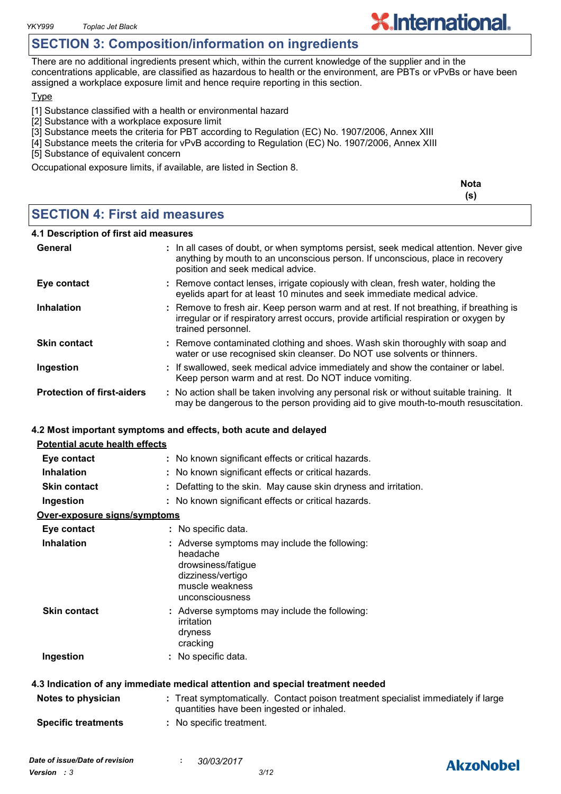*YKY999 Toplac Jet Black*

### **SECTION 3: Composition/information on ingredients**

There are no additional ingredients present which, within the current knowledge of the supplier and in the concentrations applicable, are classified as hazardous to health or the environment, are PBTs or vPvBs or have been assigned a workplace exposure limit and hence require reporting in this section.

**Type** 

[1] Substance classified with a health or environmental hazard

- [2] Substance with a workplace exposure limit
- [3] Substance meets the criteria for PBT according to Regulation (EC) No. 1907/2006, Annex XIII
- [4] Substance meets the criteria for vPvB according to Regulation (EC) No. 1907/2006, Annex XIII
- [5] Substance of equivalent concern

Occupational exposure limits, if available, are listed in Section 8.

|                                      | <b>Nota</b><br>(s) |
|--------------------------------------|--------------------|
| <b>SECTION 4: First aid measures</b> |                    |

#### **4.1 Description of first aid measures**

| General                           | : In all cases of doubt, or when symptoms persist, seek medical attention. Never give<br>anything by mouth to an unconscious person. If unconscious, place in recovery<br>position and seek medical advice. |
|-----------------------------------|-------------------------------------------------------------------------------------------------------------------------------------------------------------------------------------------------------------|
| Eye contact                       | : Remove contact lenses, irrigate copiously with clean, fresh water, holding the<br>eyelids apart for at least 10 minutes and seek immediate medical advice.                                                |
| <b>Inhalation</b>                 | : Remove to fresh air. Keep person warm and at rest. If not breathing, if breathing is<br>irregular or if respiratory arrest occurs, provide artificial respiration or oxygen by<br>trained personnel.      |
| <b>Skin contact</b>               | : Remove contaminated clothing and shoes. Wash skin thoroughly with soap and<br>water or use recognised skin cleanser. Do NOT use solvents or thinners.                                                     |
| Ingestion                         | : If swallowed, seek medical advice immediately and show the container or label.<br>Keep person warm and at rest. Do NOT induce vomiting.                                                                   |
| <b>Protection of first-aiders</b> | : No action shall be taken involving any personal risk or without suitable training. It<br>may be dangerous to the person providing aid to give mouth-to-mouth resuscitation.                               |

#### **4.2 Most important symptoms and effects, both acute and delayed**

#### **Potential acute health effects Eye contact :** No known significant effects or critical hazards.

| <b>Inhalation</b>            | : No known significant effects or critical hazards.                                                                                        |
|------------------------------|--------------------------------------------------------------------------------------------------------------------------------------------|
| <b>Skin contact</b>          | : Defatting to the skin. May cause skin dryness and irritation.                                                                            |
| Ingestion                    | : No known significant effects or critical hazards.                                                                                        |
| Over-exposure signs/symptoms |                                                                                                                                            |
| Eye contact                  | : No specific data.                                                                                                                        |
| <b>Inhalation</b>            | : Adverse symptoms may include the following:<br>headache<br>drowsiness/fatigue<br>dizziness/vertigo<br>muscle weakness<br>unconsciousness |
| <b>Skin contact</b>          | : Adverse symptoms may include the following:<br>irritation<br>dryness<br>cracking                                                         |
| Ingestion                    | : No specific data.                                                                                                                        |
|                              | 4.3 Indication of any immediate medical attention and special treatment needed                                                             |
| Notes to physician           | : Treat symptomatically. Contact poison treatment specialist immediately if large<br>quantities have been ingested or inhaled.             |

**Specific treatments :** No specific treatment.

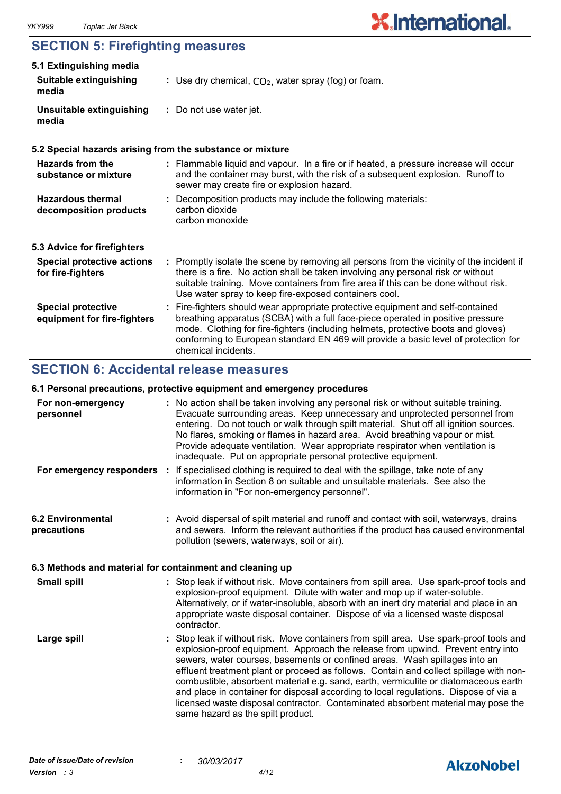### **SECTION 5: Firefighting measures**

| 5.1 Extinguishing media                                  |                                                                                                                                                                                                                                                                                                                                                                       |
|----------------------------------------------------------|-----------------------------------------------------------------------------------------------------------------------------------------------------------------------------------------------------------------------------------------------------------------------------------------------------------------------------------------------------------------------|
| <b>Suitable extinguishing</b><br>media                   | : Use dry chemical, $CO2$ , water spray (fog) or foam.                                                                                                                                                                                                                                                                                                                |
| Unsuitable extinguishing<br>media                        | : Do not use water jet.                                                                                                                                                                                                                                                                                                                                               |
|                                                          | 5.2 Special hazards arising from the substance or mixture                                                                                                                                                                                                                                                                                                             |
| Hazards from the<br>substance or mixture                 | : Flammable liquid and vapour. In a fire or if heated, a pressure increase will occur<br>and the container may burst, with the risk of a subsequent explosion. Runoff to<br>sewer may create fire or explosion hazard.                                                                                                                                                |
| <b>Hazardous thermal</b><br>decomposition products       | : Decomposition products may include the following materials:<br>carbon dioxide<br>carbon monoxide                                                                                                                                                                                                                                                                    |
| 5.3 Advice for firefighters                              |                                                                                                                                                                                                                                                                                                                                                                       |
| <b>Special protective actions</b><br>for fire-fighters   | : Promptly isolate the scene by removing all persons from the vicinity of the incident if<br>there is a fire. No action shall be taken involving any personal risk or without<br>suitable training. Move containers from fire area if this can be done without risk.<br>Use water spray to keep fire-exposed containers cool.                                         |
| <b>Special protective</b><br>equipment for fire-fighters | : Fire-fighters should wear appropriate protective equipment and self-contained<br>breathing apparatus (SCBA) with a full face-piece operated in positive pressure<br>mode. Clothing for fire-fighters (including helmets, protective boots and gloves)<br>conforming to European standard EN 469 will provide a basic level of protection for<br>chemical incidents. |

### **SECTION 6: Accidental release measures**

#### **6.1 Personal precautions, protective equipment and emergency procedures**

|                                         | o. I I crochar procaations, protocityc cquipment and chici gener proceautes                                                                                                                                                                                                                                                                                                                                                                                                                                                                                                                                                                                |
|-----------------------------------------|------------------------------------------------------------------------------------------------------------------------------------------------------------------------------------------------------------------------------------------------------------------------------------------------------------------------------------------------------------------------------------------------------------------------------------------------------------------------------------------------------------------------------------------------------------------------------------------------------------------------------------------------------------|
| For non-emergency<br>personnel          | : No action shall be taken involving any personal risk or without suitable training.<br>Evacuate surrounding areas. Keep unnecessary and unprotected personnel from<br>entering. Do not touch or walk through spilt material. Shut off all ignition sources.<br>No flares, smoking or flames in hazard area. Avoid breathing vapour or mist.<br>Provide adequate ventilation. Wear appropriate respirator when ventilation is<br>inadequate. Put on appropriate personal protective equipment.                                                                                                                                                             |
|                                         | For emergency responders : If specialised clothing is required to deal with the spillage, take note of any<br>information in Section 8 on suitable and unsuitable materials. See also the<br>information in "For non-emergency personnel".                                                                                                                                                                                                                                                                                                                                                                                                                 |
| <b>6.2 Environmental</b><br>precautions | : Avoid dispersal of spilt material and runoff and contact with soil, waterways, drains<br>and sewers. Inform the relevant authorities if the product has caused environmental<br>pollution (sewers, waterways, soil or air).                                                                                                                                                                                                                                                                                                                                                                                                                              |
|                                         | 6.3 Methods and material for containment and cleaning up                                                                                                                                                                                                                                                                                                                                                                                                                                                                                                                                                                                                   |
| <b>Small spill</b>                      | : Stop leak if without risk. Move containers from spill area. Use spark-proof tools and<br>explosion-proof equipment. Dilute with water and mop up if water-soluble.<br>Alternatively, or if water-insoluble, absorb with an inert dry material and place in an<br>appropriate waste disposal container. Dispose of via a licensed waste disposal<br>contractor.                                                                                                                                                                                                                                                                                           |
| Large spill                             | : Stop leak if without risk. Move containers from spill area. Use spark-proof tools and<br>explosion-proof equipment. Approach the release from upwind. Prevent entry into<br>sewers, water courses, basements or confined areas. Wash spillages into an<br>effluent treatment plant or proceed as follows. Contain and collect spillage with non-<br>combustible, absorbent material e.g. sand, earth, vermiculite or diatomaceous earth<br>and place in container for disposal according to local regulations. Dispose of via a<br>licensed waste disposal contractor. Contaminated absorbent material may pose the<br>same hazard as the spilt product. |

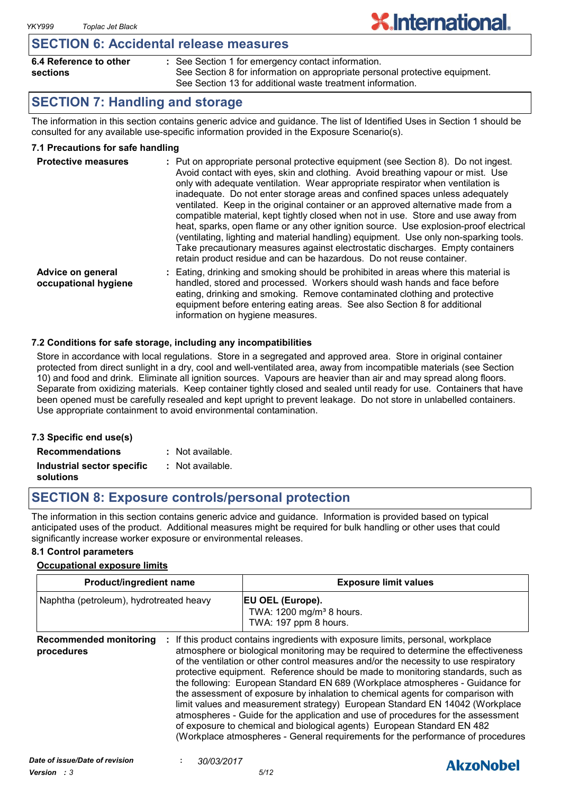### **SECTION 6: Accidental release measures**

| 6.4 Reference to other |  |
|------------------------|--|
| sections               |  |

- See Section 1 for emergency contact information. **:**
	- See Section 8 for information on appropriate personal protective equipment. See Section 13 for additional waste treatment information.

**X**.International.

### **SECTION 7: Handling and storage**

The information in this section contains generic advice and guidance. The list of Identified Uses in Section 1 should be consulted for any available use-specific information provided in the Exposure Scenario(s).

#### **7.1 Precautions for safe handling**

| <b>Protective measures</b>                | : Put on appropriate personal protective equipment (see Section 8). Do not ingest.<br>Avoid contact with eyes, skin and clothing. Avoid breathing vapour or mist. Use<br>only with adequate ventilation. Wear appropriate respirator when ventilation is<br>inadequate. Do not enter storage areas and confined spaces unless adequately<br>ventilated. Keep in the original container or an approved alternative made from a<br>compatible material, kept tightly closed when not in use. Store and use away from<br>heat, sparks, open flame or any other ignition source. Use explosion-proof electrical<br>(ventilating, lighting and material handling) equipment. Use only non-sparking tools.<br>Take precautionary measures against electrostatic discharges. Empty containers<br>retain product residue and can be hazardous. Do not reuse container. |
|-------------------------------------------|----------------------------------------------------------------------------------------------------------------------------------------------------------------------------------------------------------------------------------------------------------------------------------------------------------------------------------------------------------------------------------------------------------------------------------------------------------------------------------------------------------------------------------------------------------------------------------------------------------------------------------------------------------------------------------------------------------------------------------------------------------------------------------------------------------------------------------------------------------------|
| Advice on general<br>occupational hygiene | Eating, drinking and smoking should be prohibited in areas where this material is<br>handled, stored and processed. Workers should wash hands and face before<br>eating, drinking and smoking. Remove contaminated clothing and protective<br>equipment before entering eating areas. See also Section 8 for additional                                                                                                                                                                                                                                                                                                                                                                                                                                                                                                                                        |

#### **7.2 Conditions for safe storage, including any incompatibilities**

Store in accordance with local regulations. Store in a segregated and approved area. Store in original container protected from direct sunlight in a dry, cool and well-ventilated area, away from incompatible materials (see Section 10) and food and drink. Eliminate all ignition sources. Vapours are heavier than air and may spread along floors. Separate from oxidizing materials. Keep container tightly closed and sealed until ready for use. Containers that have been opened must be carefully resealed and kept upright to prevent leakage. Do not store in unlabelled containers. Use appropriate containment to avoid environmental contamination.

information on hygiene measures.

| 7.3 Specific end use(s)    |                  |
|----------------------------|------------------|
| <b>Recommendations</b>     | : Not available. |
| Industrial sector specific | : Not available. |
| solutions                  |                  |

### **SECTION 8: Exposure controls/personal protection**

The information in this section contains generic advice and guidance. Information is provided based on typical anticipated uses of the product. Additional measures might be required for bulk handling or other uses that could significantly increase worker exposure or environmental releases.

#### **8.1 Control parameters**

#### **Occupational exposure limits**

| Product/ingredient name<br>Naphtha (petroleum), hydrotreated heavy |  | <b>Exposure limit values</b>                                                                                                                                                                                                                                                                                                                                                                                                                                                                                                                                                                                                                                                                                                                                                                                                                          |  |  |
|--------------------------------------------------------------------|--|-------------------------------------------------------------------------------------------------------------------------------------------------------------------------------------------------------------------------------------------------------------------------------------------------------------------------------------------------------------------------------------------------------------------------------------------------------------------------------------------------------------------------------------------------------------------------------------------------------------------------------------------------------------------------------------------------------------------------------------------------------------------------------------------------------------------------------------------------------|--|--|
|                                                                    |  | <b>EU OEL (Europe).</b><br>TWA: 1200 mg/m <sup>3</sup> 8 hours.<br>TWA: 197 ppm 8 hours.                                                                                                                                                                                                                                                                                                                                                                                                                                                                                                                                                                                                                                                                                                                                                              |  |  |
| <b>Recommended monitoring</b><br>procedures                        |  | If this product contains ingredients with exposure limits, personal, workplace<br>atmosphere or biological monitoring may be required to determine the effectiveness<br>of the ventilation or other control measures and/or the necessity to use respiratory<br>protective equipment. Reference should be made to monitoring standards, such as<br>the following: European Standard EN 689 (Workplace atmospheres - Guidance for<br>the assessment of exposure by inhalation to chemical agents for comparison with<br>limit values and measurement strategy) European Standard EN 14042 (Workplace<br>atmospheres - Guide for the application and use of procedures for the assessment<br>of exposure to chemical and biological agents) European Standard EN 482<br>(Workplace atmospheres - General requirements for the performance of procedures |  |  |

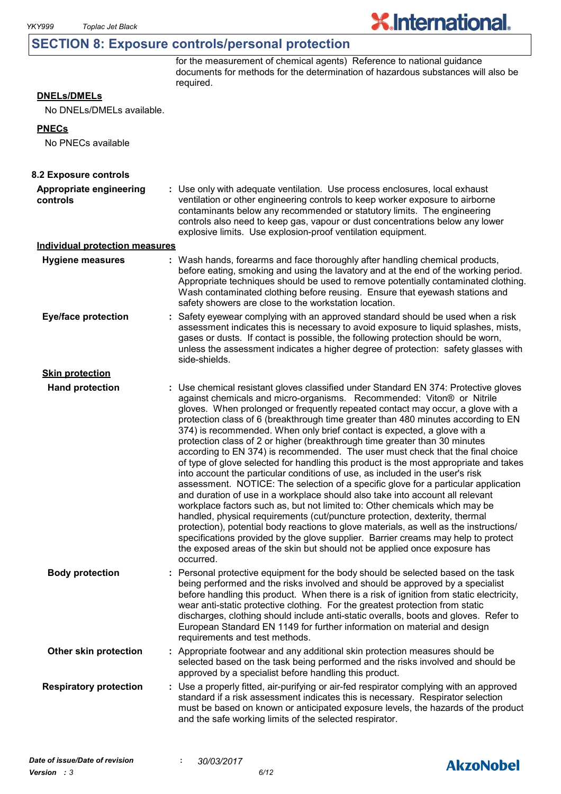### **SECTION 8: Exposure controls/personal protection**

for the measurement of chemical agents) Reference to national guidance documents for methods for the determination of hazardous substances will also be required.

**X.International.** 

#### **DNELs/DMELs**

No DNELs/DMELs available.

#### **PNECs**

No PNECs available

| 8.2 Exposure controls                 |                                                                                                                                                                                                                                                                                                                                                                                                                                                                                                                                                                                                                                                                                                                                                                                                                                                                                                                                                                                                                                                                                                                                                                                                                                                                                                                                                                          |
|---------------------------------------|--------------------------------------------------------------------------------------------------------------------------------------------------------------------------------------------------------------------------------------------------------------------------------------------------------------------------------------------------------------------------------------------------------------------------------------------------------------------------------------------------------------------------------------------------------------------------------------------------------------------------------------------------------------------------------------------------------------------------------------------------------------------------------------------------------------------------------------------------------------------------------------------------------------------------------------------------------------------------------------------------------------------------------------------------------------------------------------------------------------------------------------------------------------------------------------------------------------------------------------------------------------------------------------------------------------------------------------------------------------------------|
| Appropriate engineering<br>controls   | : Use only with adequate ventilation. Use process enclosures, local exhaust<br>ventilation or other engineering controls to keep worker exposure to airborne<br>contaminants below any recommended or statutory limits. The engineering<br>controls also need to keep gas, vapour or dust concentrations below any lower<br>explosive limits. Use explosion-proof ventilation equipment.                                                                                                                                                                                                                                                                                                                                                                                                                                                                                                                                                                                                                                                                                                                                                                                                                                                                                                                                                                                 |
| <b>Individual protection measures</b> |                                                                                                                                                                                                                                                                                                                                                                                                                                                                                                                                                                                                                                                                                                                                                                                                                                                                                                                                                                                                                                                                                                                                                                                                                                                                                                                                                                          |
| <b>Hygiene measures</b>               | : Wash hands, forearms and face thoroughly after handling chemical products,<br>before eating, smoking and using the lavatory and at the end of the working period.<br>Appropriate techniques should be used to remove potentially contaminated clothing.<br>Wash contaminated clothing before reusing. Ensure that eyewash stations and<br>safety showers are close to the workstation location.                                                                                                                                                                                                                                                                                                                                                                                                                                                                                                                                                                                                                                                                                                                                                                                                                                                                                                                                                                        |
| <b>Eye/face protection</b>            | : Safety eyewear complying with an approved standard should be used when a risk<br>assessment indicates this is necessary to avoid exposure to liquid splashes, mists,<br>gases or dusts. If contact is possible, the following protection should be worn,<br>unless the assessment indicates a higher degree of protection: safety glasses with<br>side-shields.                                                                                                                                                                                                                                                                                                                                                                                                                                                                                                                                                                                                                                                                                                                                                                                                                                                                                                                                                                                                        |
| <b>Skin protection</b>                |                                                                                                                                                                                                                                                                                                                                                                                                                                                                                                                                                                                                                                                                                                                                                                                                                                                                                                                                                                                                                                                                                                                                                                                                                                                                                                                                                                          |
| <b>Hand protection</b>                | : Use chemical resistant gloves classified under Standard EN 374: Protective gloves<br>against chemicals and micro-organisms. Recommended: Viton® or Nitrile<br>gloves. When prolonged or frequently repeated contact may occur, a glove with a<br>protection class of 6 (breakthrough time greater than 480 minutes according to EN<br>374) is recommended. When only brief contact is expected, a glove with a<br>protection class of 2 or higher (breakthrough time greater than 30 minutes<br>according to EN 374) is recommended. The user must check that the final choice<br>of type of glove selected for handling this product is the most appropriate and takes<br>into account the particular conditions of use, as included in the user's risk<br>assessment. NOTICE: The selection of a specific glove for a particular application<br>and duration of use in a workplace should also take into account all relevant<br>workplace factors such as, but not limited to: Other chemicals which may be<br>handled, physical requirements (cut/puncture protection, dexterity, thermal<br>protection), potential body reactions to glove materials, as well as the instructions/<br>specifications provided by the glove supplier. Barrier creams may help to protect<br>the exposed areas of the skin but should not be applied once exposure has<br>occurred. |
| <b>Body protection</b>                | : Personal protective equipment for the body should be selected based on the task<br>being performed and the risks involved and should be approved by a specialist<br>before handling this product. When there is a risk of ignition from static electricity,<br>wear anti-static protective clothing. For the greatest protection from static<br>discharges, clothing should include anti-static overalls, boots and gloves. Refer to<br>European Standard EN 1149 for further information on material and design<br>requirements and test methods.                                                                                                                                                                                                                                                                                                                                                                                                                                                                                                                                                                                                                                                                                                                                                                                                                     |
| Other skin protection                 | : Appropriate footwear and any additional skin protection measures should be<br>selected based on the task being performed and the risks involved and should be<br>approved by a specialist before handling this product.                                                                                                                                                                                                                                                                                                                                                                                                                                                                                                                                                                                                                                                                                                                                                                                                                                                                                                                                                                                                                                                                                                                                                |
| <b>Respiratory protection</b>         | : Use a properly fitted, air-purifying or air-fed respirator complying with an approved<br>standard if a risk assessment indicates this is necessary. Respirator selection<br>must be based on known or anticipated exposure levels, the hazards of the product<br>and the safe working limits of the selected respirator.                                                                                                                                                                                                                                                                                                                                                                                                                                                                                                                                                                                                                                                                                                                                                                                                                                                                                                                                                                                                                                               |

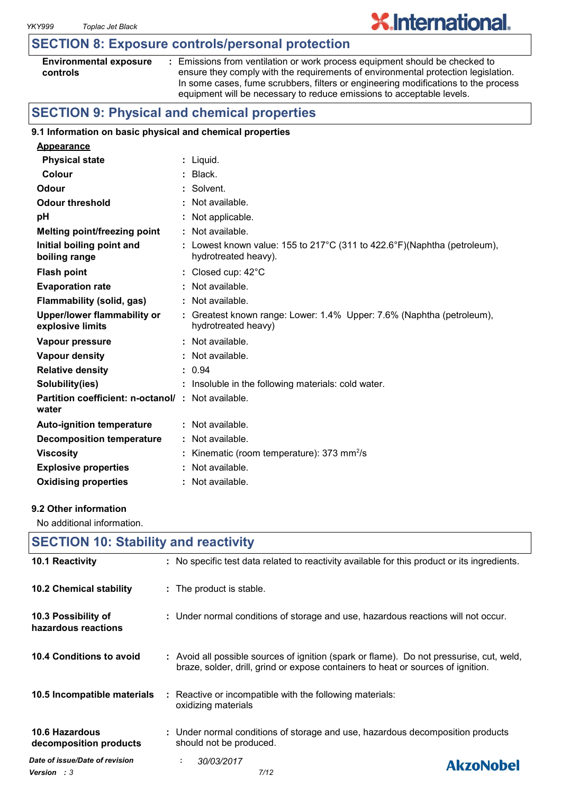### **SECTION 8: Exposure controls/personal protection**

| <b>Environmental exposure</b> |  |
|-------------------------------|--|
| controls                      |  |

**:** Emissions from ventilation or work process equipment should be checked to ensure they comply with the requirements of environmental protection legislation. In some cases, fume scrubbers, filters or engineering modifications to the process equipment will be necessary to reduce emissions to acceptable levels.

### **SECTION 9: Physical and chemical properties**

#### **9.1 Information on basic physical and chemical properties**

| Appearance                                                        |                                                                                                  |
|-------------------------------------------------------------------|--------------------------------------------------------------------------------------------------|
| <b>Physical state</b>                                             | : Liquid.                                                                                        |
| Colour                                                            | $:$ Black.                                                                                       |
| Odour                                                             | : Solvent.                                                                                       |
| <b>Odour threshold</b>                                            | : Not available.                                                                                 |
| рH                                                                | : Not applicable.                                                                                |
| <b>Melting point/freezing point</b>                               | $:$ Not available.                                                                               |
| Initial boiling point and<br>boiling range                        | : Lowest known value: 155 to 217°C (311 to 422.6°F)(Naphtha (petroleum),<br>hydrotreated heavy). |
| <b>Flash point</b>                                                | : Closed cup: $42^{\circ}$ C                                                                     |
| <b>Evaporation rate</b>                                           | : Not available.                                                                                 |
| Flammability (solid, gas)                                         | : Not available.                                                                                 |
| Upper/lower flammability or<br>explosive limits                   | : Greatest known range: Lower: 1.4% Upper: 7.6% (Naphtha (petroleum),<br>hydrotreated heavy)     |
| Vapour pressure                                                   | $:$ Not available.                                                                               |
| <b>Vapour density</b>                                             | $:$ Not available.                                                                               |
| <b>Relative density</b>                                           | : 0.94                                                                                           |
| Solubility(ies)                                                   | : Insoluble in the following materials: cold water.                                              |
| <b>Partition coefficient: n-octanol/: Not available.</b><br>water |                                                                                                  |
| <b>Auto-ignition temperature</b>                                  | $:$ Not available.                                                                               |
| Decomposition temperature                                         | : Not available.                                                                                 |
| <b>Viscosity</b>                                                  | : Kinematic (room temperature): $373 \text{ mm}^2/\text{s}$                                      |
| <b>Explosive properties</b>                                       | : Not available.                                                                                 |
| <b>Oxidising properties</b>                                       | : Not available.                                                                                 |

#### **9.2 Other information**

No additional information.

| <b>SECTION 10: Stability and reactivity</b>          |                                                                                                                                                                              |  |
|------------------------------------------------------|------------------------------------------------------------------------------------------------------------------------------------------------------------------------------|--|
| 10.1 Reactivity                                      | : No specific test data related to reactivity available for this product or its ingredients.                                                                                 |  |
| 10.2 Chemical stability                              | : The product is stable.                                                                                                                                                     |  |
| 10.3 Possibility of<br>hazardous reactions           | : Under normal conditions of storage and use, hazardous reactions will not occur.                                                                                            |  |
| 10.4 Conditions to avoid                             | : Avoid all possible sources of ignition (spark or flame). Do not pressurise, cut, weld,<br>braze, solder, drill, grind or expose containers to heat or sources of ignition. |  |
| 10.5 Incompatible materials                          | $\therefore$ Reactive or incompatible with the following materials:<br>oxidizing materials                                                                                   |  |
| <b>10.6 Hazardous</b><br>decomposition products      | : Under normal conditions of storage and use, hazardous decomposition products<br>should not be produced.                                                                    |  |
| Date of issue/Date of revision<br><b>Version</b> : 3 | 30/03/2017<br>÷.<br><b>AkzoNobel</b><br>7/12                                                                                                                                 |  |

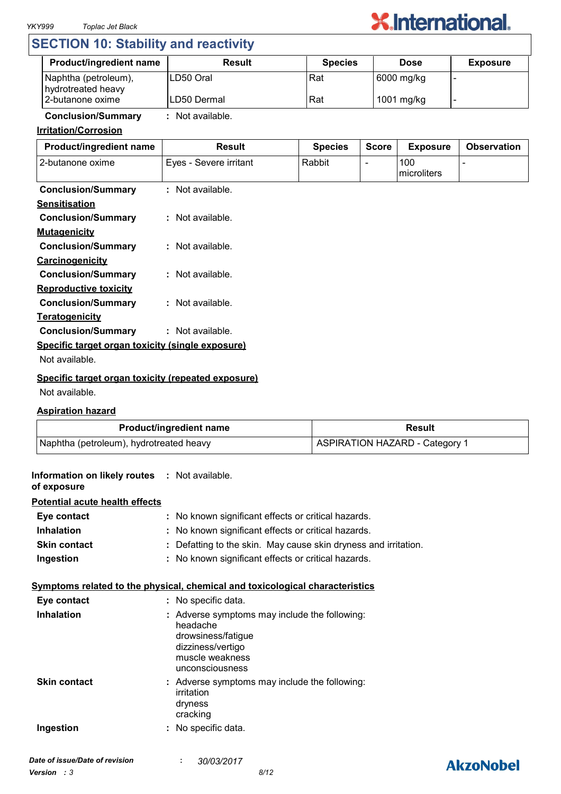

### **SECTION 10: Stability and reactivity**

| <b>Product/ingredient name</b>             | <b>Result</b> | <b>Species</b> | <b>Dose</b> | <b>Exposure</b> |
|--------------------------------------------|---------------|----------------|-------------|-----------------|
| Naphtha (petroleum),<br>hydrotreated heavy | ILD50 Oral    | Rat            | 6000 mg/kg  |                 |
| 2-butanone oxime                           | ILD50 Dermal  | Rat            | 1001 mg/kg  |                 |

### **Conclusion/Summary :** Not available.

#### **Irritation/Corrosion**

| Product/ingredient name                            | <b>Result</b>          | <b>Species</b> | <b>Score</b> | <b>Exposure</b>    | <b>Observation</b> |
|----------------------------------------------------|------------------------|----------------|--------------|--------------------|--------------------|
| 2-butanone oxime                                   | Eyes - Severe irritant | Rabbit         |              | 100<br>microliters |                    |
| <b>Conclusion/Summary</b>                          | : Not available.       |                |              |                    |                    |
| <b>Sensitisation</b>                               |                        |                |              |                    |                    |
| <b>Conclusion/Summary</b>                          | : Not available.       |                |              |                    |                    |
| <b>Mutagenicity</b>                                |                        |                |              |                    |                    |
| <b>Conclusion/Summary</b>                          | : Not available.       |                |              |                    |                    |
| Carcinogenicity                                    |                        |                |              |                    |                    |
| <b>Conclusion/Summary</b>                          | : Not available.       |                |              |                    |                    |
| <b>Reproductive toxicity</b>                       |                        |                |              |                    |                    |
| <b>Conclusion/Summary</b>                          | : Not available.       |                |              |                    |                    |
| <b>Teratogenicity</b>                              |                        |                |              |                    |                    |
| <b>Conclusion/Summary</b>                          | : Not available.       |                |              |                    |                    |
| Specific target organ toxicity (single exposure)   |                        |                |              |                    |                    |
| Not available.                                     |                        |                |              |                    |                    |
| Specific target organ toxicity (repeated exposure) |                        |                |              |                    |                    |

#### Not available.

#### **Aspiration hazard**

| <b>Product/ingredient name</b>          | <b>Result</b>                  |
|-----------------------------------------|--------------------------------|
| Naphtha (petroleum), hydrotreated heavy | ASPIRATION HAZARD - Category 1 |

| Information on likely routes : Not available.<br>of exposure |                                                                                                                                            |
|--------------------------------------------------------------|--------------------------------------------------------------------------------------------------------------------------------------------|
| <b>Potential acute health effects</b>                        |                                                                                                                                            |
| Eye contact                                                  | : No known significant effects or critical hazards.                                                                                        |
| <b>Inhalation</b>                                            | : No known significant effects or critical hazards.                                                                                        |
| <b>Skin contact</b>                                          | : Defatting to the skin. May cause skin dryness and irritation.                                                                            |
| Ingestion                                                    | : No known significant effects or critical hazards.                                                                                        |
|                                                              | Symptoms related to the physical, chemical and toxicological characteristics                                                               |
| Eye contact                                                  | : No specific data.                                                                                                                        |
| <b>Inhalation</b>                                            | : Adverse symptoms may include the following:<br>headache<br>drowsiness/fatigue<br>dizziness/vertigo<br>muscle weakness<br>unconsciousness |
| <b>Skin contact</b>                                          | : Adverse symptoms may include the following:<br>irritation<br>dryness<br>cracking                                                         |
| Ingestion                                                    | : No specific data.                                                                                                                        |
|                                                              | 0.0100100                                                                                                                                  |

### **AkzoNobel**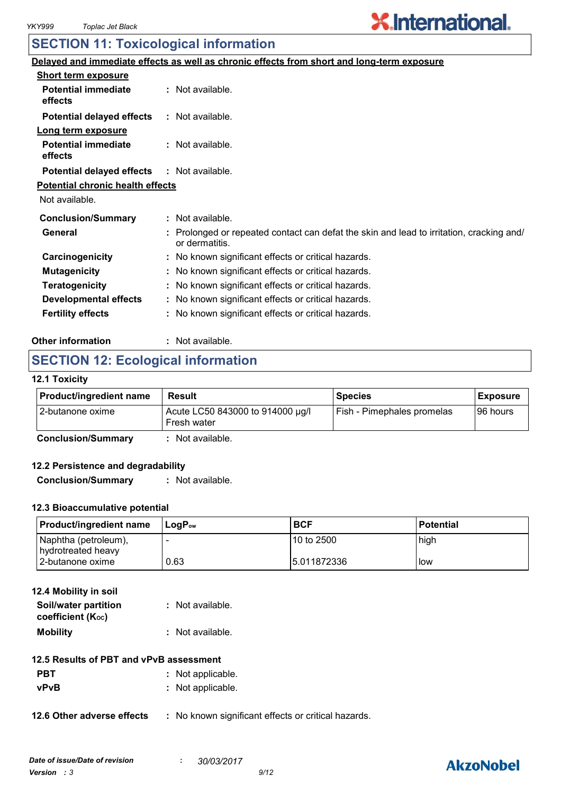# **X.International.**

### **SECTION 11: Toxicological information**

|                                         | Delayed and immediate effects as well as chronic effects from short and long-term exposure               |
|-----------------------------------------|----------------------------------------------------------------------------------------------------------|
| <b>Short term exposure</b>              |                                                                                                          |
| <b>Potential immediate</b><br>effects   | : Not available.                                                                                         |
| <b>Potential delayed effects</b>        | : Not available.                                                                                         |
| Long term exposure                      |                                                                                                          |
| <b>Potential immediate</b><br>effects   | : Not available.                                                                                         |
| <b>Potential delayed effects</b>        | : Not available.                                                                                         |
| <b>Potential chronic health effects</b> |                                                                                                          |
| Not available.                          |                                                                                                          |
| <b>Conclusion/Summary</b>               | : Not available.                                                                                         |
| General                                 | Prolonged or repeated contact can defat the skin and lead to irritation, cracking and/<br>or dermatitis. |
| Carcinogenicity                         | : No known significant effects or critical hazards.                                                      |
| <b>Mutagenicity</b>                     | : No known significant effects or critical hazards.                                                      |
| <b>Teratogenicity</b>                   | : No known significant effects or critical hazards.                                                      |
| <b>Developmental effects</b>            | : No known significant effects or critical hazards.                                                      |
| <b>Fertility effects</b>                | : No known significant effects or critical hazards.                                                      |
|                                         |                                                                                                          |

#### **Other information :** : Not available.

### **SECTION 12: Ecological information**

#### **12.1 Toxicity**

| <b>Product/ingredient name</b> | Result                                          | <b>Species</b>             | Exposure  |
|--------------------------------|-------------------------------------------------|----------------------------|-----------|
| I 2-butanone oxime             | Acute LC50 843000 to 914000 µg/l<br>Fresh water | Fish - Pimephales promelas | 196 hours |
| Conclusion/Summary             | Alot available                                  |                            |           |

**Conclusion/Summary :** Not available.

#### **12.2 Persistence and degradability**

**Conclusion/Summary :** Not available.

#### **12.3 Bioaccumulative potential**

| <b>Product/ingredient name</b>             | ⊥LoɑP <sub>ow</sub> | <b>BCF</b>  | <b>Potential</b> |
|--------------------------------------------|---------------------|-------------|------------------|
| Naphtha (petroleum),<br>hydrotreated heavy |                     | 10 to 2500  | high             |
| l 2-butanone oxime                         | 0.63                | 5.011872336 | l low            |

| 12.4 Mobility in soil                     |                  |
|-------------------------------------------|------------------|
| Soil/water partition<br>coefficient (Koc) | : Not available. |
| <b>Mobility</b>                           | : Not available. |

#### **12.5 Results of PBT and vPvB assessment**

| <b>PBT</b> | : Not applicable. |
|------------|-------------------|
| vPvB       | : Not applicable. |

**12.6 Other adverse effects** : No known significant effects or critical hazards.

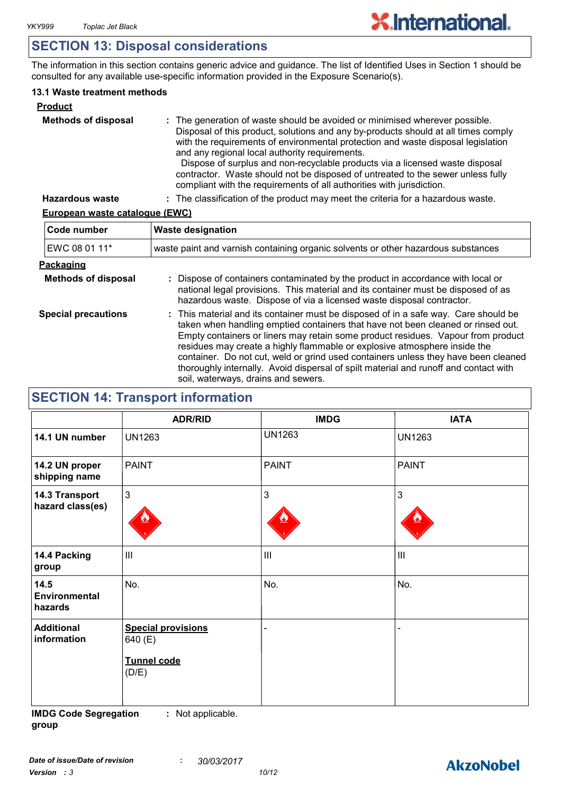### **SECTION 13: Disposal considerations**

The information in this section contains generic advice and guidance. The list of Identified Uses in Section 1 should be consulted for any available use-specific information provided in the Exposure Scenario(s).

#### **13.1 Waste treatment methods**

| <b>Product</b>             |                                                                                                                                                                                                                                                                                                                                                                                                                                                                                                                                                     |
|----------------------------|-----------------------------------------------------------------------------------------------------------------------------------------------------------------------------------------------------------------------------------------------------------------------------------------------------------------------------------------------------------------------------------------------------------------------------------------------------------------------------------------------------------------------------------------------------|
| <b>Methods of disposal</b> | : The generation of waste should be avoided or minimised wherever possible.<br>Disposal of this product, solutions and any by-products should at all times comply<br>with the requirements of environmental protection and waste disposal legislation<br>and any regional local authority requirements.<br>Dispose of surplus and non-recyclable products via a licensed waste disposal<br>contractor. Waste should not be disposed of untreated to the sewer unless fully<br>compliant with the requirements of all authorities with jurisdiction. |
| <b>Hazardous waste</b>     | : The classification of the product may meet the criteria for a hazardous waste.                                                                                                                                                                                                                                                                                                                                                                                                                                                                    |

#### **European waste catalogue (EWC)**

| Code number                | <b>Waste designation</b>                                                                                                                                                                                                                                                                                                                                                                                                                                                                                                                                      |
|----------------------------|---------------------------------------------------------------------------------------------------------------------------------------------------------------------------------------------------------------------------------------------------------------------------------------------------------------------------------------------------------------------------------------------------------------------------------------------------------------------------------------------------------------------------------------------------------------|
| EWC 08 01 11*              | waste paint and varnish containing organic solvents or other hazardous substances                                                                                                                                                                                                                                                                                                                                                                                                                                                                             |
| Packaging                  |                                                                                                                                                                                                                                                                                                                                                                                                                                                                                                                                                               |
| <b>Methods of disposal</b> | : Dispose of containers contaminated by the product in accordance with local or<br>national legal provisions. This material and its container must be disposed of as<br>hazardous waste. Dispose of via a licensed waste disposal contractor.                                                                                                                                                                                                                                                                                                                 |
| <b>Special precautions</b> | : This material and its container must be disposed of in a safe way. Care should be<br>taken when handling emptied containers that have not been cleaned or rinsed out.<br>Empty containers or liners may retain some product residues. Vapour from product<br>residues may create a highly flammable or explosive atmosphere inside the<br>container. Do not cut, weld or grind used containers unless they have been cleaned<br>thoroughly internally. Avoid dispersal of spilt material and runoff and contact with<br>soil, waterways, drains and sewers. |

### **SECTION 14: Transport information**

|                                    | <b>ADR/RID</b>                                                      | <b>IMDG</b>    | <b>IATA</b>   |
|------------------------------------|---------------------------------------------------------------------|----------------|---------------|
| 14.1 UN number                     | <b>UN1263</b>                                                       | <b>UN1263</b>  | <b>UN1263</b> |
| 14.2 UN proper<br>shipping name    | <b>PAINT</b>                                                        | <b>PAINT</b>   | <b>PAINT</b>  |
| 14.3 Transport<br>hazard class(es) | $\mathfrak{S}$                                                      | $\mathfrak{S}$ | 3             |
| 14.4 Packing<br>group              | III                                                                 | $\mathbf{III}$ | III           |
| 14.5<br>Environmental<br>hazards   | No.                                                                 | No.            | No.           |
| <b>Additional</b><br>information   | <b>Special provisions</b><br>640 (E)<br><b>Tunnel code</b><br>(D/E) |                |               |

**IMDG Code Segregation group :** Not applicable.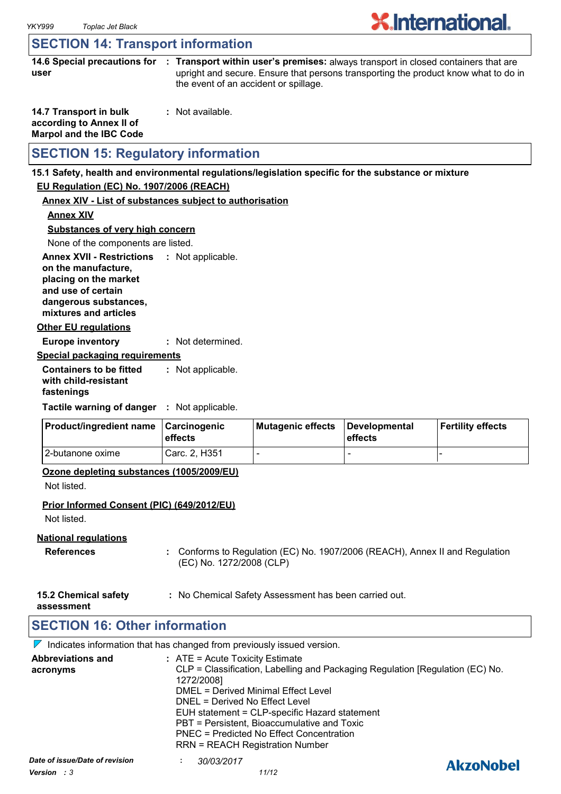### **SECTION 14: Transport information**

**14.6 Special precautions for : Transport within user's premises:** always transport in closed containers that are **user** upright and secure. Ensure that persons transporting the product know what to do in the event of an accident or spillage.

| 14.7 Transport in bulk         | : Not available. |
|--------------------------------|------------------|
| according to Annex II of       |                  |
| <b>Marpol and the IBC Code</b> |                  |

### **SECTION 15: Regulatory information**

#### **15.1 Safety, health and environmental regulations/legislation specific for the substance or mixture**

### **EU Regulation (EC) No. 1907/2006 (REACH)**

#### **Annex XIV - List of substances subject to authorisation**

**Annex XIV**

**Substances of very high concern**

None of the components are listed.

**Annex XVII - Restrictions : Not applicable. on the manufacture, placing on the market and use of certain dangerous substances,**

**mixtures and articles**

#### **Other EU regulations**

**Europe inventory :** Not determined.

#### **Special packaging requirements**

**Containers to be fitted with child-resistant fastenings** Not applicable. **:**

**Tactile warning of danger : Not applicable.** 

| <b>Product/ingredient name</b> | <b>∣Carcinogenic</b><br><b>leffects</b> | Mutagenic effects | Developmental<br>effects | Fertility effects |
|--------------------------------|-----------------------------------------|-------------------|--------------------------|-------------------|
| 12-butanone oxime              | Carc. 2. H351                           |                   |                          |                   |

#### **Ozone depleting substances (1005/2009/EU)**

Not listed.

#### **Prior Informed Consent (PIC) (649/2012/EU)**

Not listed.

#### **National regulations**

- **References :** Conforms to Regulation (EC) No. 1907/2006 (REACH), Annex II and Regulation (EC) No. 1272/2008 (CLP)
- **15.2 Chemical safety :** No Chemical Safety Assessment has been carried out.

**assessment**

### **SECTION 16: Other information**

 $\nabla$  Indicates information that has changed from previously issued version.

|                      | <b>Abbreviations and</b><br>acronyms | $:$ ATE = Acute Toxicity Estimate<br>CLP = Classification, Labelling and Packaging Regulation [Regulation (EC) No.<br>1272/2008]<br>DMEL = Derived Minimal Effect Level<br>DNEL = Derived No Effect Level<br>EUH statement = CLP-specific Hazard statement<br>PBT = Persistent, Bioaccumulative and Toxic<br>PNEC = Predicted No Effect Concentration<br><b>RRN = REACH Registration Number</b> |                  |
|----------------------|--------------------------------------|-------------------------------------------------------------------------------------------------------------------------------------------------------------------------------------------------------------------------------------------------------------------------------------------------------------------------------------------------------------------------------------------------|------------------|
| Version : 3<br>11/12 | Date of issue/Date of revision       | 30/03/2017                                                                                                                                                                                                                                                                                                                                                                                      | <b>AkzoNobel</b> |